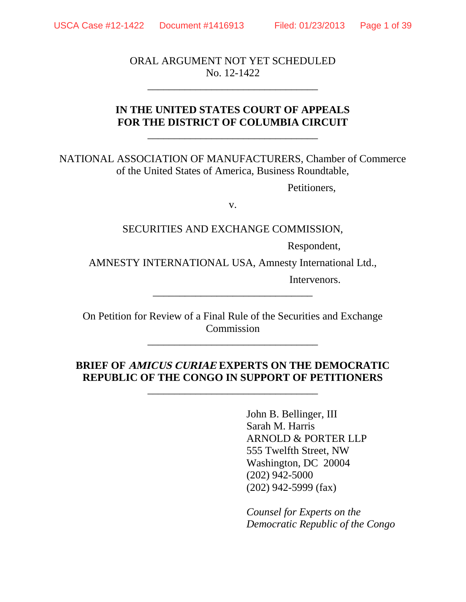ORAL ARGUMENT NOT YET SCHEDULED No. 12-1422

\_\_\_\_\_\_\_\_\_\_\_\_\_\_\_\_\_\_\_\_\_\_\_\_\_\_\_\_\_\_\_\_

## **IN THE UNITED STATES COURT OF APPEALS FOR THE DISTRICT OF COLUMBIA CIRCUIT**

\_\_\_\_\_\_\_\_\_\_\_\_\_\_\_\_\_\_\_\_\_\_\_\_\_\_\_\_\_\_\_\_

NATIONAL ASSOCIATION OF MANUFACTURERS, Chamber of Commerce of the United States of America, Business Roundtable,

Petitioners,

v.

SECURITIES AND EXCHANGE COMMISSION,

Respondent,

AMNESTY INTERNATIONAL USA, Amnesty International Ltd.,

\_\_\_\_\_\_\_\_\_\_\_\_\_\_\_\_\_\_\_\_\_\_\_\_\_\_\_\_\_\_

Intervenors.

On Petition for Review of a Final Rule of the Securities and Exchange **Commission** 

\_\_\_\_\_\_\_\_\_\_\_\_\_\_\_\_\_\_\_\_\_\_\_\_\_\_\_\_\_\_\_\_

## **BRIEF OF AMICUS CURIAE EXPERTS ON THE DEMOCRATIC REPUBLIC OF THE CONGO IN SUPPORT OF PETITIONERS**

\_\_\_\_\_\_\_\_\_\_\_\_\_\_\_\_\_\_\_\_\_\_\_\_\_\_\_\_\_\_\_\_

John B. Bellinger, III Sarah M. Harris ARNOLD & PORTER LLP 555 Twelfth Street, NW Washington, DC 20004 (202) 942-5000 (202) 942-5999 (fax)

*Counsel for Experts on the Democratic Republic of the Congo*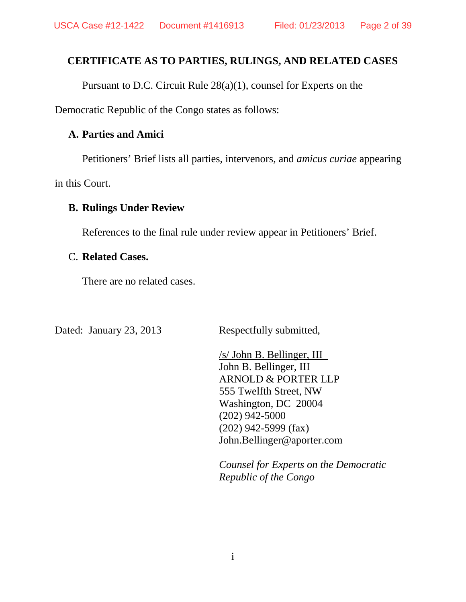## **CERTIFICATE AS TO PARTIES, RULINGS, AND RELATED CASES**

Pursuant to D.C. Circuit Rule 28(a)(1), counsel for Experts on the

Democratic Republic of the Congo states as follows:

## **A. Parties and Amici**

Petitioners' Brief lists all parties, intervenors, and *amicus curiae* appearing

in this Court.

## **B. Rulings Under Review**

References to the final rule under review appear in Petitioners' Brief.

## C. **Related Cases.**

There are no related cases.

Dated: January 23, 2013 Respectfully submitted,

/s/ John B. Bellinger, III John B. Bellinger, III ARNOLD & PORTER LLP 555 Twelfth Street, NW Washington, DC 20004 (202) 942-5000 (202) 942-5999 (fax) John.Bellinger@aporter.com

*Counsel for Experts on the Democratic Republic of the Congo*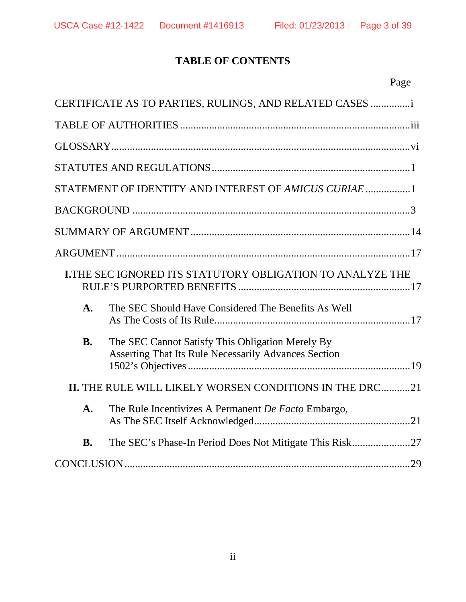# **TABLE OF CONTENTS**

|--|

|                | CERTIFICATE AS TO PARTIES, RULINGS, AND RELATED CASES                                                    |
|----------------|----------------------------------------------------------------------------------------------------------|
|                |                                                                                                          |
|                |                                                                                                          |
|                |                                                                                                          |
|                | STATEMENT OF IDENTITY AND INTEREST OF AMICUS CURIAE                                                      |
|                |                                                                                                          |
|                |                                                                                                          |
|                |                                                                                                          |
|                | <b>I.THE SEC IGNORED ITS STATUTORY OBLIGATION TO ANALYZE THE</b>                                         |
| $\mathbf{A}$ . | The SEC Should Have Considered The Benefits As Well                                                      |
| <b>B.</b>      | The SEC Cannot Satisfy This Obligation Merely By<br>Asserting That Its Rule Necessarily Advances Section |
|                | II. THE RULE WILL LIKELY WORSEN CONDITIONS IN THE DRC21                                                  |
| $\mathbf{A}$ . | The Rule Incentivizes A Permanent De Facto Embargo,                                                      |
| <b>B.</b>      |                                                                                                          |
|                |                                                                                                          |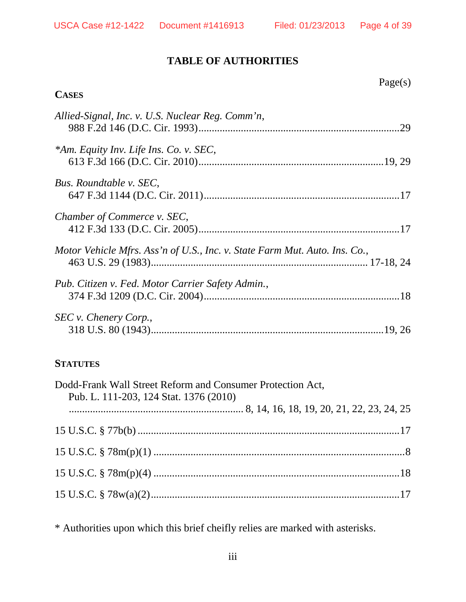# **TABLE OF AUTHORITIES**

## **CASES**

| Allied-Signal, Inc. v. U.S. Nuclear Reg. Comm'n,                           |  |
|----------------------------------------------------------------------------|--|
| *Am. Equity Inv. Life Ins. Co. v. SEC,                                     |  |
| Bus. Roundtable v. SEC,                                                    |  |
| Chamber of Commerce v. SEC,                                                |  |
| Motor Vehicle Mfrs. Ass'n of U.S., Inc. v. State Farm Mut. Auto. Ins. Co., |  |
| Pub. Citizen v. Fed. Motor Carrier Safety Admin.,                          |  |
| SEC v. Chenery Corp.,                                                      |  |

## **STATUTES**

| Dodd-Frank Wall Street Reform and Consumer Protection Act,<br>Pub. L. 111-203, 124 Stat. 1376 (2010) |  |
|------------------------------------------------------------------------------------------------------|--|
|                                                                                                      |  |
|                                                                                                      |  |
|                                                                                                      |  |
|                                                                                                      |  |
|                                                                                                      |  |

\* Authorities upon which this brief cheifly relies are marked with asterisks.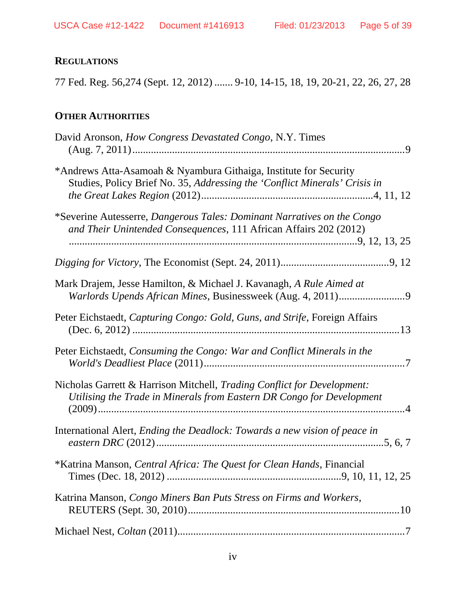# **REGULATIONS**

77 Fed. Reg. 56,274 (Sept. 12, 2012) ....... 9-10, 14-15, 18, 19, 20-21, 22, 26, 27, 28

# **OTHER AUTHORITIES**

| David Aronson, <i>How Congress Devastated Congo</i> , N.Y. Times                                                                                 |
|--------------------------------------------------------------------------------------------------------------------------------------------------|
| *Andrews Atta-Asamoah & Nyambura Githaiga, Institute for Security<br>Studies, Policy Brief No. 35, Addressing the 'Conflict Minerals' Crisis in  |
| *Severine Autesserre, Dangerous Tales: Dominant Narratives on the Congo<br>and Their Unintended Consequences, 111 African Affairs 202 (2012)     |
|                                                                                                                                                  |
| Mark Drajem, Jesse Hamilton, & Michael J. Kavanagh, A Rule Aimed at                                                                              |
| Peter Eichstaedt, Capturing Congo: Gold, Guns, and Strife, Foreign Affairs                                                                       |
| Peter Eichstaedt, Consuming the Congo: War and Conflict Minerals in the                                                                          |
| Nicholas Garrett & Harrison Mitchell, Trading Conflict for Development:<br>Utilising the Trade in Minerals from Eastern DR Congo for Development |
| International Alert, <i>Ending the Deadlock: Towards a new vision of peace in</i>                                                                |
| *Katrina Manson, Central Africa: The Quest for Clean Hands, Financial                                                                            |
| Katrina Manson, Congo Miners Ban Puts Stress on Firms and Workers,                                                                               |
|                                                                                                                                                  |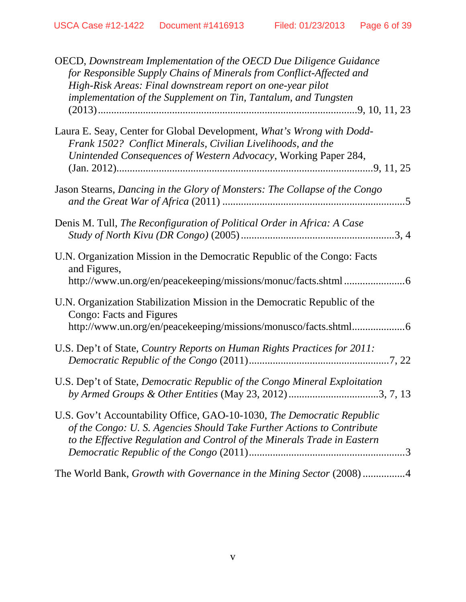| OECD, Downstream Implementation of the OECD Due Diligence Guidance<br>for Responsible Supply Chains of Minerals from Conflict-Affected and<br>High-Risk Areas: Final downstream report on one-year pilot<br>implementation of the Supplement on Tin, Tantalum, and Tungsten |
|-----------------------------------------------------------------------------------------------------------------------------------------------------------------------------------------------------------------------------------------------------------------------------|
| Laura E. Seay, Center for Global Development, What's Wrong with Dodd-<br>Frank 1502? Conflict Minerals, Civilian Livelihoods, and the<br>Unintended Consequences of Western Advocacy, Working Paper 284,                                                                    |
| Jason Stearns, Dancing in the Glory of Monsters: The Collapse of the Congo                                                                                                                                                                                                  |
| Denis M. Tull, The Reconfiguration of Political Order in Africa: A Case                                                                                                                                                                                                     |
| U.N. Organization Mission in the Democratic Republic of the Congo: Facts<br>and Figures,                                                                                                                                                                                    |
| U.N. Organization Stabilization Mission in the Democratic Republic of the<br>Congo: Facts and Figures<br>http://www.un.org/en/peacekeeping/missions/monusco/facts.shtml6                                                                                                    |
| U.S. Dep't of State, Country Reports on Human Rights Practices for 2011:                                                                                                                                                                                                    |
| U.S. Dep't of State, Democratic Republic of the Congo Mineral Exploitation<br>by Armed Groups & Other Entities (May 23, 2012) 3, 7, 13                                                                                                                                      |
| U.S. Gov't Accountability Office, GAO-10-1030, The Democratic Republic<br>of the Congo: U.S. Agencies Should Take Further Actions to Contribute<br>to the Effective Regulation and Control of the Minerals Trade in Eastern                                                 |
| The World Bank, Growth with Governance in the Mining Sector (2008)4                                                                                                                                                                                                         |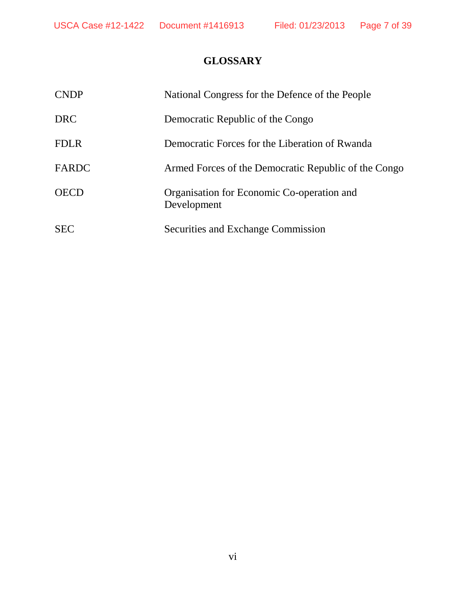# **GLOSSARY**

| <b>CNDP</b> | National Congress for the Defence of the People           |
|-------------|-----------------------------------------------------------|
| <b>DRC</b>  | Democratic Republic of the Congo                          |
| <b>FDLR</b> | Democratic Forces for the Liberation of Rwanda            |
| FARDC       | Armed Forces of the Democratic Republic of the Congo      |
| <b>OECD</b> | Organisation for Economic Co-operation and<br>Development |
| <b>SEC</b>  | Securities and Exchange Commission                        |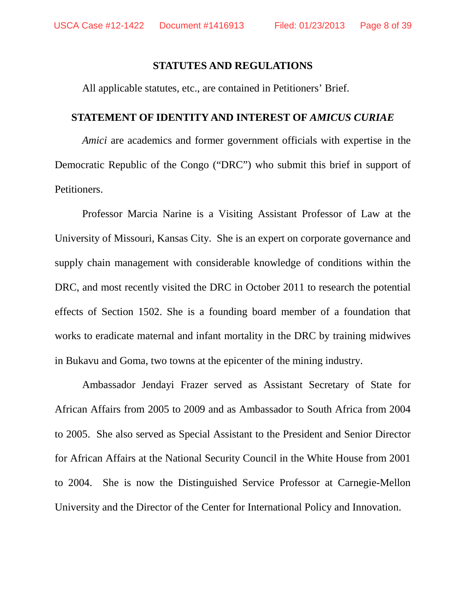#### **STATUTES AND REGULATIONS**

All applicable statutes, etc., are contained in Petitioners' Brief.

#### **STATEMENT OF IDENTITY AND INTEREST OF** *AMICUS CURIAE*

*Amici* are academics and former government officials with expertise in the Democratic Republic of the Congo ("DRC") who submit this brief in support of Petitioners.

Professor Marcia Narine is a Visiting Assistant Professor of Law at the University of Missouri, Kansas City. She is an expert on corporate governance and supply chain management with considerable knowledge of conditions within the DRC, and most recently visited the DRC in October 2011 to research the potential effects of Section 1502. She is a founding board member of a foundation that works to eradicate maternal and infant mortality in the DRC by training midwives in Bukavu and Goma, two towns at the epicenter of the mining industry.

Ambassador Jendayi Frazer served as Assistant Secretary of State for African Affairs from 2005 to 2009 and as Ambassador to South Africa from 2004 to 2005. She also served as Special Assistant to the President and Senior Director for African Affairs at the National Security Council in the White House from 2001 to 2004. She is now the Distinguished Service Professor at Carnegie-Mellon University and the Director of the Center for International Policy and Innovation.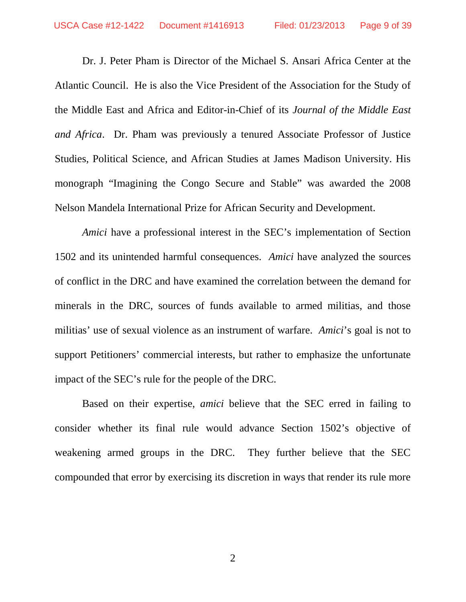Dr. J. Peter Pham is Director of the Michael S. Ansari Africa Center at the Atlantic Council. He is also the Vice President of the Association for the Study of the Middle East and Africa and Editor-in-Chief of its *Journal of the Middle East and Africa*. Dr. Pham was previously a tenured Associate Professor of Justice Studies, Political Science, and African Studies at James Madison University. His monograph "Imagining the Congo Secure and Stable" was awarded the 2008 Nelson Mandela International Prize for African Security and Development.

*Amici* have a professional interest in the SEC's implementation of Section 1502 and its unintended harmful consequences. *Amici* have analyzed the sources of conflict in the DRC and have examined the correlation between the demand for minerals in the DRC, sources of funds available to armed militias, and those militias' use of sexual violence as an instrument of warfare. *Amici*'s goal is not to support Petitioners' commercial interests, but rather to emphasize the unfortunate impact of the SEC's rule for the people of the DRC.

Based on their expertise, *amici* believe that the SEC erred in failing to consider whether its final rule would advance Section 1502's objective of weakening armed groups in the DRC. They further believe that the SEC compounded that error by exercising its discretion in ways that render its rule more

2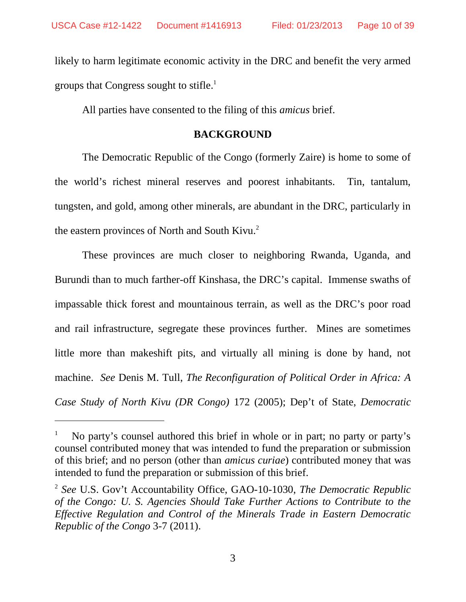likely to harm legitimate economic activity in the DRC and benefit the very armed groups that Congress sought to stifle.<sup>1</sup>

All parties have consented to the filing of this *amicus* brief.

## **BACKGROUND**

The Democratic Republic of the Congo (formerly Zaire) is home to some of the world's richest mineral reserves and poorest inhabitants. Tin, tantalum, tungsten, and gold, among other minerals, are abundant in the DRC, particularly in the eastern provinces of North and South Kivu.<sup>2</sup>

These provinces are much closer to neighboring Rwanda, Uganda, and Burundi than to much farther-off Kinshasa, the DRC's capital. Immense swaths of impassable thick forest and mountainous terrain, as well as the DRC's poor road and rail infrastructure, segregate these provinces further. Mines are sometimes little more than makeshift pits, and virtually all mining is done by hand, not machine. *See* Denis M. Tull, *The Reconfiguration of Political Order in Africa: A Case Study of North Kivu (DR Congo)* 172 (2005); Dep't of State, *Democratic*

No party's counsel authored this brief in whole or in part; no party or party's counsel contributed money that was intended to fund the preparation or submission of this brief; and no person (other than *amicus curiae*) contributed money that was intended to fund the preparation or submission of this brief.

<sup>2</sup> *See* U.S. Gov't Accountability Office, GAO-10-1030, *The Democratic Republic of the Congo: U. S. Agencies Should Take Further Actions to Contribute to the Effective Regulation and Control of the Minerals Trade in Eastern Democratic Republic of the Congo* 3-7 (2011).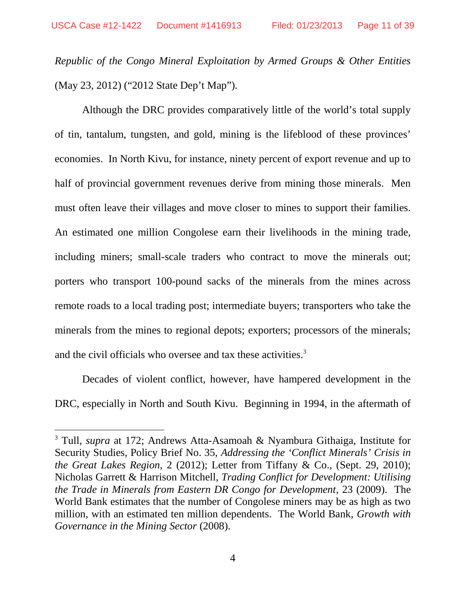*Republic of the Congo Mineral Exploitation by Armed Groups & Other Entities* (May 23, 2012) ("2012 State Dep't Map").

Although the DRC provides comparatively little of the world's total supply of tin, tantalum, tungsten, and gold, mining is the lifeblood of these provinces' economies. In North Kivu, for instance, ninety percent of export revenue and up to half of provincial government revenues derive from mining those minerals. Men must often leave their villages and move closer to mines to support their families. An estimated one million Congolese earn their livelihoods in the mining trade, including miners; small-scale traders who contract to move the minerals out; porters who transport 100-pound sacks of the minerals from the mines across remote roads to a local trading post; intermediate buyers; transporters who take the minerals from the mines to regional depots; exporters; processors of the minerals; and the civil officials who oversee and tax these activities.<sup>3</sup>

Decades of violent conflict, however, have hampered development in the DRC, especially in North and South Kivu. Beginning in 1994, in the aftermath of

<sup>3</sup> Tull, *supra* at 172; Andrews Atta-Asamoah & Nyambura Githaiga, Institute for Security Studies, Policy Brief No. 35, *Addressing the 'Conflict Minerals' Crisis in the Great Lakes Region,* 2 (2012); Letter from Tiffany & Co., (Sept. 29, 2010); Nicholas Garrett & Harrison Mitchell, *Trading Conflict for Development: Utilising the Trade in Minerals from Eastern DR Congo for Development*, 23 (2009). The World Bank estimates that the number of Congolese miners may be as high as two million, with an estimated ten million dependents. The World Bank, *Growth with Governance in the Mining Sector* (2008).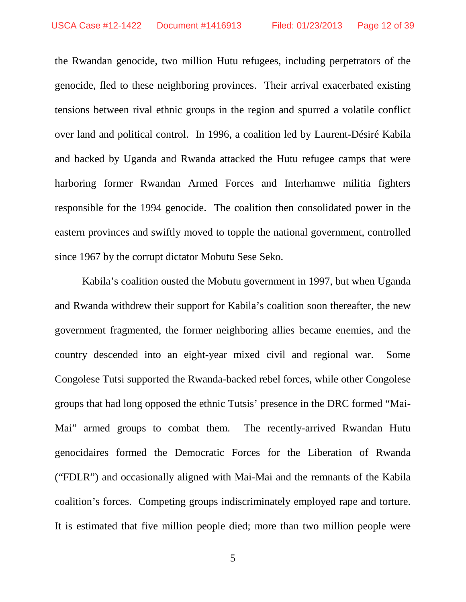the Rwandan genocide, two million Hutu refugees, including perpetrators of the genocide, fled to these neighboring provinces. Their arrival exacerbated existing tensions between rival ethnic groups in the region and spurred a volatile conflict over land and political control. In 1996, a coalition led by Laurent-Désiré Kabila and backed by Uganda and Rwanda attacked the Hutu refugee camps that were harboring former Rwandan Armed Forces and Interhamwe militia fighters responsible for the 1994 genocide. The coalition then consolidated power in the eastern provinces and swiftly moved to topple the national government, controlled since 1967 by the corrupt dictator Mobutu Sese Seko.

Kabila's coalition ousted the Mobutu government in 1997, but when Uganda and Rwanda withdrew their support for Kabila's coalition soon thereafter, the new government fragmented, the former neighboring allies became enemies, and the country descended into an eight-year mixed civil and regional war. Some Congolese Tutsi supported the Rwanda-backed rebel forces, while other Congolese groups that had long opposed the ethnic Tutsis' presence in the DRC formed "Mai-Mai" armed groups to combat them. The recently-arrived Rwandan Hutu genocidaires formed the Democratic Forces for the Liberation of Rwanda ("FDLR") and occasionally aligned with Mai-Mai and the remnants of the Kabila coalition's forces. Competing groups indiscriminately employed rape and torture. It is estimated that five million people died; more than two million people were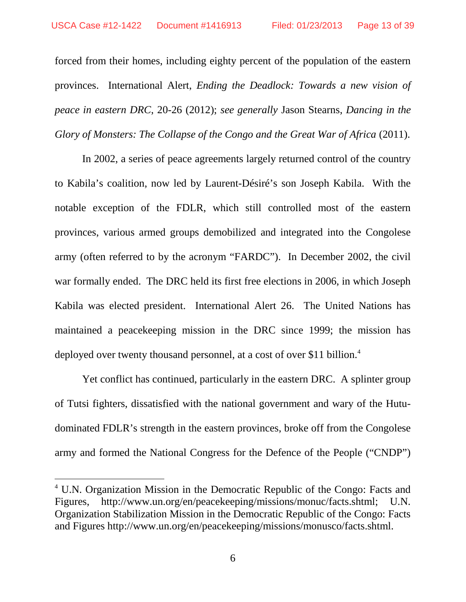forced from their homes, including eighty percent of the population of the eastern provinces. International Alert, *Ending the Deadlock: Towards a new vision of peace in eastern DRC*, 20-26 (2012); *see generally* Jason Stearns, *Dancing in the Glory of Monsters: The Collapse of the Congo and the Great War of Africa* (2011).

In 2002, a series of peace agreements largely returned control of the country to Kabila's coalition, now led by Laurent-Désiré's son Joseph Kabila. With the notable exception of the FDLR, which still controlled most of the eastern provinces, various armed groups demobilized and integrated into the Congolese army (often referred to by the acronym "FARDC"). In December 2002, the civil war formally ended. The DRC held its first free elections in 2006, in which Joseph Kabila was elected president. International Alert 26. The United Nations has maintained a peacekeeping mission in the DRC since 1999; the mission has deployed over twenty thousand personnel, at a cost of over \$11 billion.<sup>4</sup>

Yet conflict has continued, particularly in the eastern DRC. A splinter group of Tutsi fighters, dissatisfied with the national government and wary of the Hutudominated FDLR's strength in the eastern provinces, broke off from the Congolese army and formed the National Congress for the Defence of the People ("CNDP")

<sup>4</sup> U.N. Organization Mission in the Democratic Republic of the Congo: Facts and Figures, http://www.un.org/en/peacekeeping/missions/monuc/facts.shtml; U.N. Organization Stabilization Mission in the Democratic Republic of the Congo: Facts and Figures http://www.un.org/en/peacekeeping/missions/monusco/facts.shtml.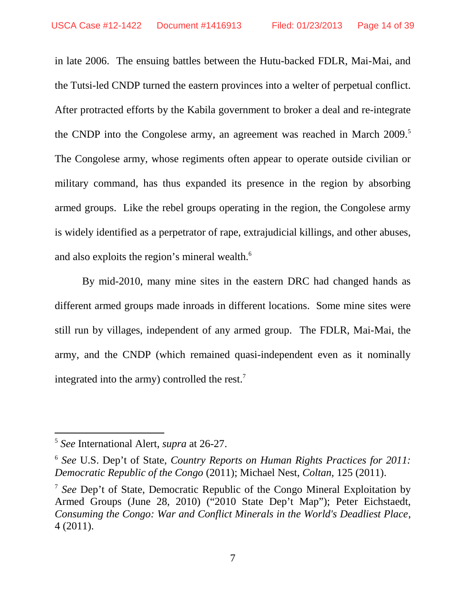in late 2006. The ensuing battles between the Hutu-backed FDLR, Mai-Mai, and the Tutsi-led CNDP turned the eastern provinces into a welter of perpetual conflict. After protracted efforts by the Kabila government to broker a deal and re-integrate the CNDP into the Congolese army, an agreement was reached in March 2009.<sup>5</sup> The Congolese army, whose regiments often appear to operate outside civilian or military command, has thus expanded its presence in the region by absorbing armed groups. Like the rebel groups operating in the region, the Congolese army is widely identified as a perpetrator of rape, extrajudicial killings, and other abuses, and also exploits the region's mineral wealth.<sup>6</sup>

By mid-2010, many mine sites in the eastern DRC had changed hands as different armed groups made inroads in different locations. Some mine sites were still run by villages, independent of any armed group. The FDLR, Mai-Mai, the army, and the CNDP (which remained quasi-independent even as it nominally integrated into the army) controlled the rest.<sup>7</sup>

<sup>5</sup> *See* International Alert, *supra* at 26-27.

<sup>6</sup> *See* U.S. Dep't of State, *Country Reports on Human Rights Practices for 2011: Democratic Republic of the Congo* (2011); Michael Nest, *Coltan*, 125 (2011).

<sup>7</sup> *See* Dep't of State, Democratic Republic of the Congo Mineral Exploitation by Armed Groups (June 28, 2010) ("2010 State Dep't Map"); Peter Eichstaedt, *Consuming the Congo: War and Conflict Minerals in the World's Deadliest Place*, 4 (2011).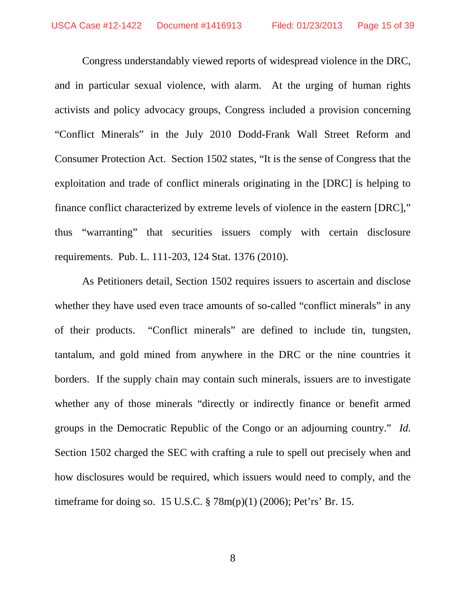Congress understandably viewed reports of widespread violence in the DRC, and in particular sexual violence, with alarm. At the urging of human rights activists and policy advocacy groups, Congress included a provision concerning "Conflict Minerals" in the July 2010 Dodd-Frank Wall Street Reform and Consumer Protection Act. Section 1502 states, "It is the sense of Congress that the exploitation and trade of conflict minerals originating in the [DRC] is helping to finance conflict characterized by extreme levels of violence in the eastern [DRC]," thus "warranting" that securities issuers comply with certain disclosure requirements. Pub. L. 111-203, 124 Stat. 1376 (2010).

As Petitioners detail, Section 1502 requires issuers to ascertain and disclose whether they have used even trace amounts of so-called "conflict minerals" in any of their products. "Conflict minerals" are defined to include tin, tungsten, tantalum, and gold mined from anywhere in the DRC or the nine countries it borders. If the supply chain may contain such minerals, issuers are to investigate whether any of those minerals "directly or indirectly finance or benefit armed groups in the Democratic Republic of the Congo or an adjourning country." *Id.* Section 1502 charged the SEC with crafting a rule to spell out precisely when and how disclosures would be required, which issuers would need to comply, and the timeframe for doing so. 15 U.S.C. § 78m(p)(1) (2006); Pet'rs' Br. 15.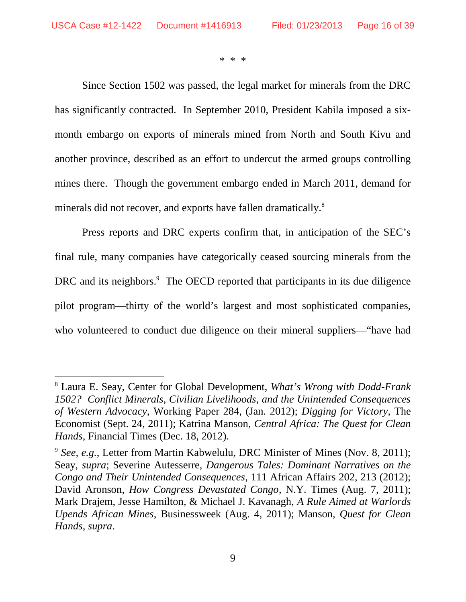\* \* \*

Since Section 1502 was passed, the legal market for minerals from the DRC has significantly contracted. In September 2010, President Kabila imposed a sixmonth embargo on exports of minerals mined from North and South Kivu and another province, described as an effort to undercut the armed groups controlling mines there. Though the government embargo ended in March 2011, demand for minerals did not recover, and exports have fallen dramatically.<sup>8</sup>

Press reports and DRC experts confirm that, in anticipation of the SEC's final rule, many companies have categorically ceased sourcing minerals from the DRC and its neighbors.<sup>9</sup> The OECD reported that participants in its due diligence pilot program—thirty of the world's largest and most sophisticated companies, who volunteered to conduct due diligence on their mineral suppliers—"have had

<sup>8</sup> Laura E. Seay, Center for Global Development, *What's Wrong with Dodd-Frank 1502? Conflict Minerals, Civilian Livelihoods, and the Unintended Consequences of Western Advocacy*, Working Paper 284, (Jan. 2012); *Digging for Victory*, The Economist (Sept. 24, 2011); Katrina Manson, *Central Africa: The Quest for Clean Hands*, Financial Times (Dec. 18, 2012).

<sup>&</sup>lt;sup>9</sup> See, e.g., Letter from Martin Kabwelulu, DRC Minister of Mines (Nov. 8, 2011); Seay, *supra*; Severine Autesserre, *Dangerous Tales: Dominant Narratives on the Congo and Their Unintended Consequences*, 111 African Affairs 202, 213 (2012); David Aronson, *How Congress Devastated Congo*, N.Y. Times (Aug. 7, 2011); Mark Drajem, Jesse Hamilton, & Michael J. Kavanagh, *A Rule Aimed at Warlords Upends African Mines*, Businessweek (Aug. 4, 2011); Manson, *Quest for Clean Hands*, *supra*.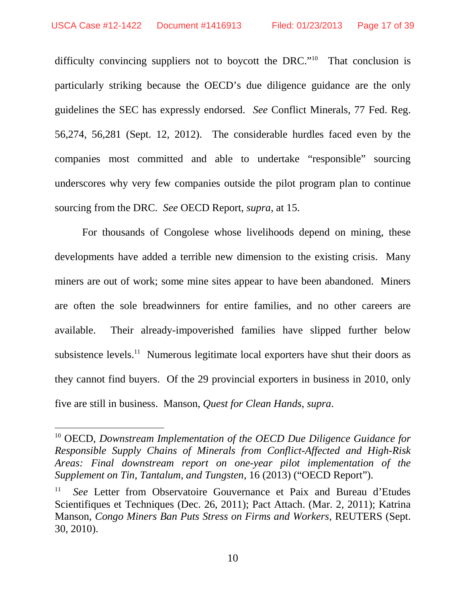difficulty convincing suppliers not to boycott the DRC."<sup>10</sup> That conclusion is particularly striking because the OECD's due diligence guidance are the only guidelines the SEC has expressly endorsed. *See* Conflict Minerals, 77 Fed. Reg. 56,274, 56,281 (Sept. 12, 2012). The considerable hurdles faced even by the companies most committed and able to undertake "responsible" sourcing underscores why very few companies outside the pilot program plan to continue sourcing from the DRC. *See* OECD Report, *supra*, at 15.

For thousands of Congolese whose livelihoods depend on mining, these developments have added a terrible new dimension to the existing crisis. Many miners are out of work; some mine sites appear to have been abandoned. Miners are often the sole breadwinners for entire families, and no other careers are available. Their already-impoverished families have slipped further below subsistence levels.<sup>11</sup> Numerous legitimate local exporters have shut their doors as they cannot find buyers. Of the 29 provincial exporters in business in 2010, only five are still in business. Manson, *Quest for Clean Hands*, *supra*.

<sup>10</sup> OECD, *Downstream Implementation of the OECD Due Diligence Guidance for Responsible Supply Chains of Minerals from Conflict-Affected and High-Risk Areas: Final downstream report on one-year pilot implementation of the Supplement on Tin, Tantalum, and Tungsten*, 16 (2013) ("OECD Report").

<sup>11</sup> *See* Letter from Observatoire Gouvernance et Paix and Bureau d'Etudes Scientifiques et Techniques (Dec. 26, 2011); Pact Attach. (Mar. 2, 2011); Katrina Manson, *Congo Miners Ban Puts Stress on Firms and Workers*, REUTERS (Sept. 30, 2010).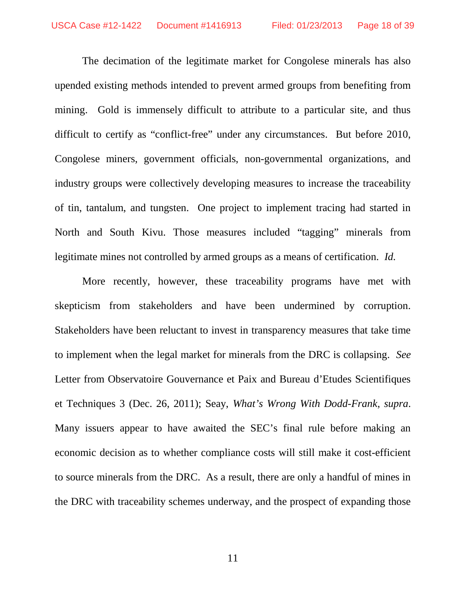The decimation of the legitimate market for Congolese minerals has also upended existing methods intended to prevent armed groups from benefiting from mining. Gold is immensely difficult to attribute to a particular site, and thus difficult to certify as "conflict-free" under any circumstances. But before 2010, Congolese miners, government officials, non-governmental organizations, and industry groups were collectively developing measures to increase the traceability of tin, tantalum, and tungsten. One project to implement tracing had started in North and South Kivu. Those measures included "tagging" minerals from legitimate mines not controlled by armed groups as a means of certification. *Id.*

More recently, however, these traceability programs have met with skepticism from stakeholders and have been undermined by corruption. Stakeholders have been reluctant to invest in transparency measures that take time to implement when the legal market for minerals from the DRC is collapsing. *See* Letter from Observatoire Gouvernance et Paix and Bureau d'Etudes Scientifiques et Techniques 3 (Dec. 26, 2011); Seay, *What's Wrong With Dodd-Frank*, *supra*. Many issuers appear to have awaited the SEC's final rule before making an economic decision as to whether compliance costs will still make it cost-efficient to source minerals from the DRC. As a result, there are only a handful of mines in the DRC with traceability schemes underway, and the prospect of expanding those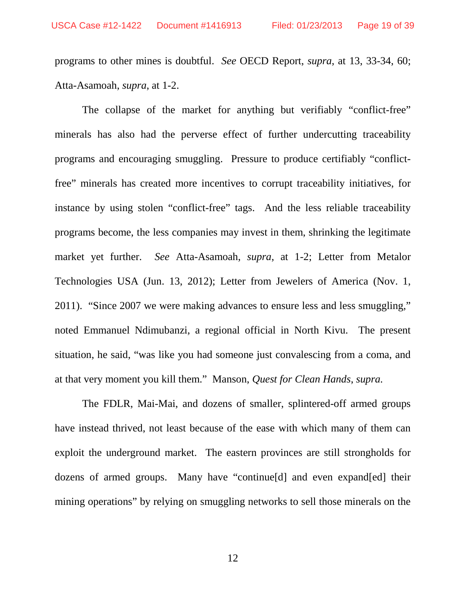programs to other mines is doubtful. *See* OECD Report, *supra*, at 13, 33-34, 60; Atta-Asamoah, *supra*, at 1-2.

The collapse of the market for anything but verifiably "conflict-free" minerals has also had the perverse effect of further undercutting traceability programs and encouraging smuggling. Pressure to produce certifiably "conflictfree" minerals has created more incentives to corrupt traceability initiatives, for instance by using stolen "conflict-free" tags. And the less reliable traceability programs become, the less companies may invest in them, shrinking the legitimate market yet further. *See* Atta-Asamoah, *supra*, at 1-2; Letter from Metalor Technologies USA (Jun. 13, 2012); Letter from Jewelers of America (Nov. 1, 2011). "Since 2007 we were making advances to ensure less and less smuggling," noted Emmanuel Ndimubanzi, a regional official in North Kivu. The present situation, he said, "was like you had someone just convalescing from a coma, and at that very moment you kill them." Manson, *Quest for Clean Hands*, *supra.*

The FDLR, Mai-Mai, and dozens of smaller, splintered-off armed groups have instead thrived, not least because of the ease with which many of them can exploit the underground market. The eastern provinces are still strongholds for dozens of armed groups. Many have "continue[d] and even expand[ed] their mining operations" by relying on smuggling networks to sell those minerals on the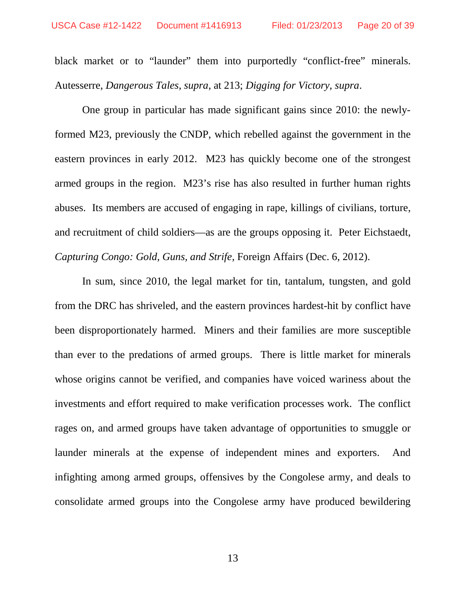black market or to "launder" them into purportedly "conflict-free" minerals. Autesserre, *Dangerous Tales*, *supra*, at 213; *Digging for Victory*, *supra*.

One group in particular has made significant gains since 2010: the newlyformed M23, previously the CNDP, which rebelled against the government in the eastern provinces in early 2012. M23 has quickly become one of the strongest armed groups in the region. M23's rise has also resulted in further human rights abuses. Its members are accused of engaging in rape, killings of civilians, torture, and recruitment of child soldiers—as are the groups opposing it. Peter Eichstaedt, *Capturing Congo: Gold, Guns, and Strife*, Foreign Affairs (Dec. 6, 2012).

In sum, since 2010, the legal market for tin, tantalum, tungsten, and gold from the DRC has shriveled, and the eastern provinces hardest-hit by conflict have been disproportionately harmed. Miners and their families are more susceptible than ever to the predations of armed groups. There is little market for minerals whose origins cannot be verified, and companies have voiced wariness about the investments and effort required to make verification processes work. The conflict rages on, and armed groups have taken advantage of opportunities to smuggle or launder minerals at the expense of independent mines and exporters. And infighting among armed groups, offensives by the Congolese army, and deals to consolidate armed groups into the Congolese army have produced bewildering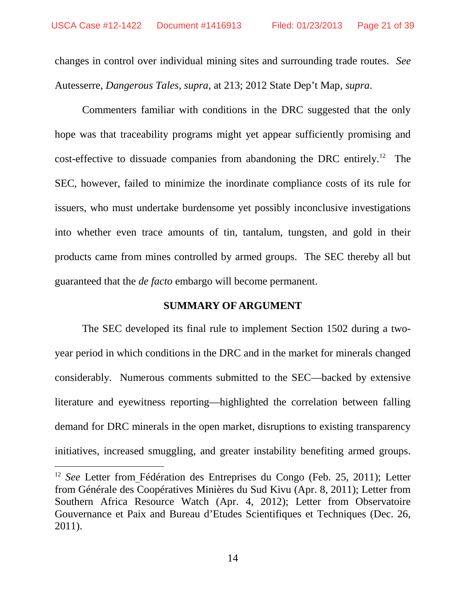changes in control over individual mining sites and surrounding trade routes. *See* Autesserre, *Dangerous Tales*, *supra*, at 213; 2012 State Dep't Map*, supra*.

Commenters familiar with conditions in the DRC suggested that the only hope was that traceability programs might yet appear sufficiently promising and cost-effective to dissuade companies from abandoning the DRC entirely.<sup>12</sup> The SEC, however, failed to minimize the inordinate compliance costs of its rule for issuers, who must undertake burdensome yet possibly inconclusive investigations into whether even trace amounts of tin, tantalum, tungsten, and gold in their products came from mines controlled by armed groups. The SEC thereby all but guaranteed that the *de facto* embargo will become permanent.

#### **SUMMARY OF ARGUMENT**

The SEC developed its final rule to implement Section 1502 during a twoyear period in which conditions in the DRC and in the market for minerals changed considerably. Numerous comments submitted to the SEC—backed by extensive literature and eyewitness reporting—highlighted the correlation between falling demand for DRC minerals in the open market, disruptions to existing transparency initiatives, increased smuggling, and greater instability benefiting armed groups.

<sup>12</sup> *See* Letter from Fédération des Entreprises du Congo (Feb. 25, 2011); Letter from Générale des Coopératives Minières du Sud Kivu (Apr. 8, 2011); Letter from Southern Africa Resource Watch (Apr. 4, 2012); Letter from Observatoire Gouvernance et Paix and Bureau d'Etudes Scientifiques et Techniques (Dec. 26, 2011).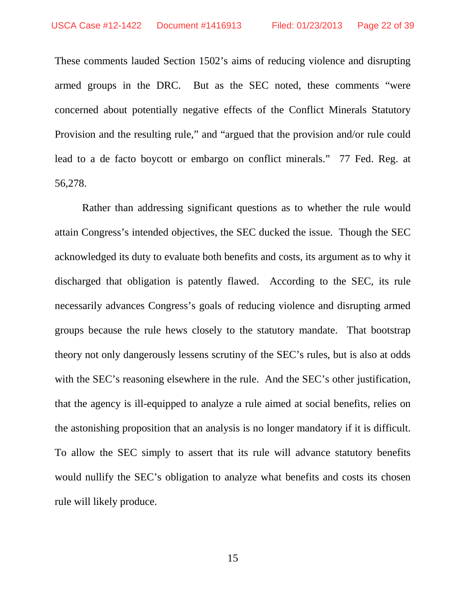These comments lauded Section 1502's aims of reducing violence and disrupting armed groups in the DRC. But as the SEC noted, these comments "were concerned about potentially negative effects of the Conflict Minerals Statutory Provision and the resulting rule," and "argued that the provision and/or rule could lead to a de facto boycott or embargo on conflict minerals." 77 Fed. Reg. at 56,278.

Rather than addressing significant questions as to whether the rule would attain Congress's intended objectives, the SEC ducked the issue. Though the SEC acknowledged its duty to evaluate both benefits and costs, its argument as to why it discharged that obligation is patently flawed. According to the SEC, its rule necessarily advances Congress's goals of reducing violence and disrupting armed groups because the rule hews closely to the statutory mandate. That bootstrap theory not only dangerously lessens scrutiny of the SEC's rules, but is also at odds with the SEC's reasoning elsewhere in the rule. And the SEC's other justification, that the agency is ill-equipped to analyze a rule aimed at social benefits, relies on the astonishing proposition that an analysis is no longer mandatory if it is difficult. To allow the SEC simply to assert that its rule will advance statutory benefits would nullify the SEC's obligation to analyze what benefits and costs its chosen rule will likely produce.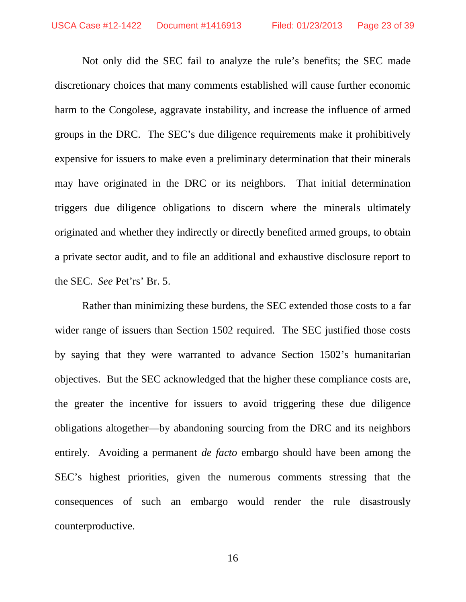Not only did the SEC fail to analyze the rule's benefits; the SEC made discretionary choices that many comments established will cause further economic harm to the Congolese, aggravate instability, and increase the influence of armed groups in the DRC. The SEC's due diligence requirements make it prohibitively expensive for issuers to make even a preliminary determination that their minerals may have originated in the DRC or its neighbors. That initial determination triggers due diligence obligations to discern where the minerals ultimately originated and whether they indirectly or directly benefited armed groups, to obtain a private sector audit, and to file an additional and exhaustive disclosure report to the SEC. *See* Pet'rs' Br. 5.

Rather than minimizing these burdens, the SEC extended those costs to a far wider range of issuers than Section 1502 required. The SEC justified those costs by saying that they were warranted to advance Section 1502's humanitarian objectives. But the SEC acknowledged that the higher these compliance costs are, the greater the incentive for issuers to avoid triggering these due diligence obligations altogether—by abandoning sourcing from the DRC and its neighbors entirely. Avoiding a permanent *de facto* embargo should have been among the SEC's highest priorities, given the numerous comments stressing that the consequences of such an embargo would render the rule disastrously counterproductive.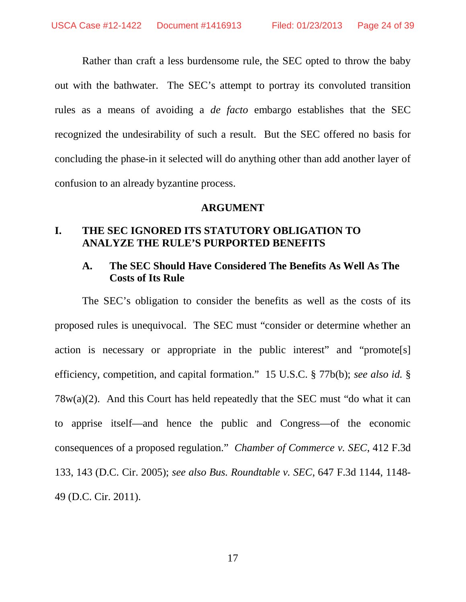Rather than craft a less burdensome rule, the SEC opted to throw the baby out with the bathwater. The SEC's attempt to portray its convoluted transition rules as a means of avoiding a *de facto* embargo establishes that the SEC recognized the undesirability of such a result. But the SEC offered no basis for concluding the phase-in it selected will do anything other than add another layer of confusion to an already byzantine process.

#### **ARGUMENT**

### **I. THE SEC IGNORED ITS STATUTORY OBLIGATION TO ANALYZE THE RULE'S PURPORTED BENEFITS**

## **A. The SEC Should Have Considered The Benefits As Well As The Costs of Its Rule**

The SEC's obligation to consider the benefits as well as the costs of its proposed rules is unequivocal. The SEC must "consider or determine whether an action is necessary or appropriate in the public interest" and "promote[s] efficiency, competition, and capital formation." 15 U.S.C. § 77b(b); *see also id.* §  $78w(a)(2)$ . And this Court has held repeatedly that the SEC must "do what it can to apprise itself—and hence the public and Congress—of the economic consequences of a proposed regulation." *Chamber of Commerce v. SEC*, 412 F.3d 133, 143 (D.C. Cir. 2005); *see also Bus. Roundtable v. SEC*, 647 F.3d 1144, 1148- 49 (D.C. Cir. 2011).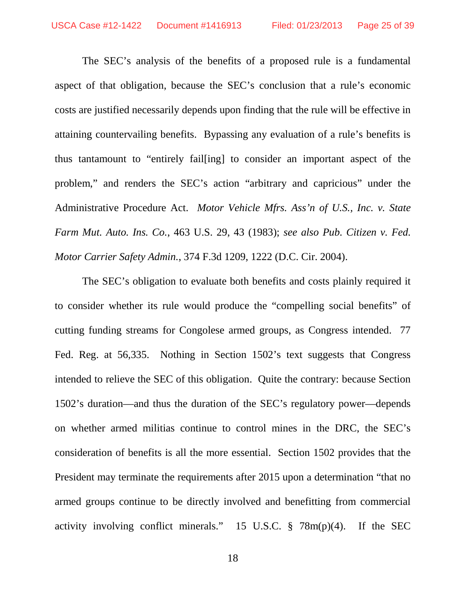The SEC's analysis of the benefits of a proposed rule is a fundamental aspect of that obligation, because the SEC's conclusion that a rule's economic costs are justified necessarily depends upon finding that the rule will be effective in attaining countervailing benefits. Bypassing any evaluation of a rule's benefits is thus tantamount to "entirely fail[ing] to consider an important aspect of the problem," and renders the SEC's action "arbitrary and capricious" under the Administrative Procedure Act. *Motor Vehicle Mfrs. Ass'n of U.S., Inc. v. State Farm Mut. Auto. Ins. Co.*, 463 U.S. 29, 43 (1983); *see also Pub. Citizen v. Fed. Motor Carrier Safety Admin.*, 374 F.3d 1209, 1222 (D.C. Cir. 2004).

The SEC's obligation to evaluate both benefits and costs plainly required it to consider whether its rule would produce the "compelling social benefits" of cutting funding streams for Congolese armed groups, as Congress intended. 77 Fed. Reg. at 56,335. Nothing in Section 1502's text suggests that Congress intended to relieve the SEC of this obligation. Quite the contrary: because Section 1502's duration—and thus the duration of the SEC's regulatory power—depends on whether armed militias continue to control mines in the DRC, the SEC's consideration of benefits is all the more essential. Section 1502 provides that the President may terminate the requirements after 2015 upon a determination "that no armed groups continue to be directly involved and benefitting from commercial activity involving conflict minerals." 15 U.S.C. § 78m(p)(4). If the SEC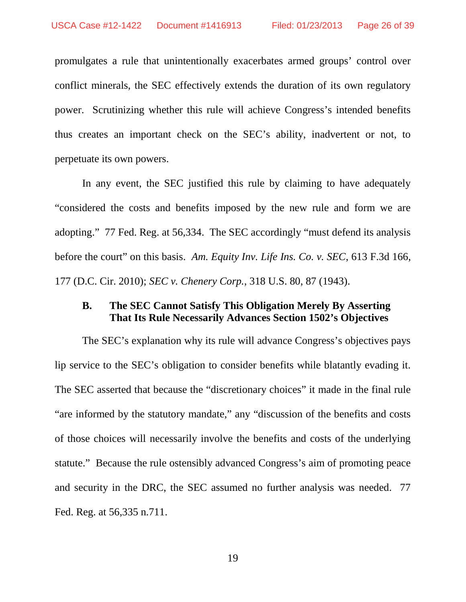promulgates a rule that unintentionally exacerbates armed groups' control over conflict minerals, the SEC effectively extends the duration of its own regulatory power. Scrutinizing whether this rule will achieve Congress's intended benefits thus creates an important check on the SEC's ability, inadvertent or not, to perpetuate its own powers.

In any event, the SEC justified this rule by claiming to have adequately "considered the costs and benefits imposed by the new rule and form we are adopting." 77 Fed. Reg. at 56,334. The SEC accordingly "must defend its analysis before the court" on this basis. *Am. Equity Inv. Life Ins. Co. v. SEC*, 613 F.3d 166, 177 (D.C. Cir. 2010); *SEC v. Chenery Corp.*, 318 U.S. 80, 87 (1943).

### **B. The SEC Cannot Satisfy This Obligation Merely By Asserting That Its Rule Necessarily Advances Section 1502's Objectives**

The SEC's explanation why its rule will advance Congress's objectives pays lip service to the SEC's obligation to consider benefits while blatantly evading it. The SEC asserted that because the "discretionary choices" it made in the final rule "are informed by the statutory mandate," any "discussion of the benefits and costs of those choices will necessarily involve the benefits and costs of the underlying statute." Because the rule ostensibly advanced Congress's aim of promoting peace and security in the DRC, the SEC assumed no further analysis was needed. 77 Fed. Reg. at 56,335 n.711.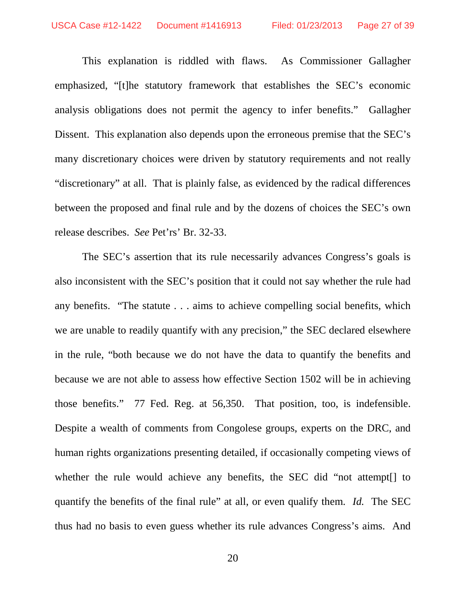This explanation is riddled with flaws. As Commissioner Gallagher emphasized, "[t]he statutory framework that establishes the SEC's economic analysis obligations does not permit the agency to infer benefits." Gallagher Dissent. This explanation also depends upon the erroneous premise that the SEC's many discretionary choices were driven by statutory requirements and not really "discretionary" at all. That is plainly false, as evidenced by the radical differences between the proposed and final rule and by the dozens of choices the SEC's own release describes. *See* Pet'rs' Br. 32-33.

The SEC's assertion that its rule necessarily advances Congress's goals is also inconsistent with the SEC's position that it could not say whether the rule had any benefits. "The statute . . . aims to achieve compelling social benefits, which we are unable to readily quantify with any precision," the SEC declared elsewhere in the rule, "both because we do not have the data to quantify the benefits and because we are not able to assess how effective Section 1502 will be in achieving those benefits." 77 Fed. Reg. at 56,350. That position, too, is indefensible. Despite a wealth of comments from Congolese groups, experts on the DRC, and human rights organizations presenting detailed, if occasionally competing views of whether the rule would achieve any benefits, the SEC did "not attempt[] to quantify the benefits of the final rule" at all, or even qualify them. *Id.* The SEC thus had no basis to even guess whether its rule advances Congress's aims. And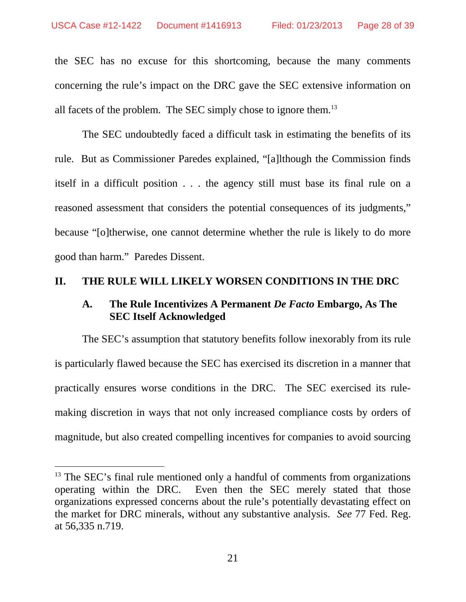the SEC has no excuse for this shortcoming, because the many comments concerning the rule's impact on the DRC gave the SEC extensive information on all facets of the problem. The SEC simply chose to ignore them.<sup>13</sup>

The SEC undoubtedly faced a difficult task in estimating the benefits of its rule. But as Commissioner Paredes explained, "[a]lthough the Commission finds itself in a difficult position . . . the agency still must base its final rule on a reasoned assessment that considers the potential consequences of its judgments," because "[o]therwise, one cannot determine whether the rule is likely to do more good than harm." Paredes Dissent.

## **II. THE RULE WILL LIKELY WORSEN CONDITIONS IN THE DRC**

## **A. The Rule Incentivizes A Permanent** *De Facto* **Embargo, As The SEC Itself Acknowledged**

The SEC's assumption that statutory benefits follow inexorably from its rule is particularly flawed because the SEC has exercised its discretion in a manner that practically ensures worse conditions in the DRC. The SEC exercised its rulemaking discretion in ways that not only increased compliance costs by orders of magnitude, but also created compelling incentives for companies to avoid sourcing

<sup>&</sup>lt;sup>13</sup> The SEC's final rule mentioned only a handful of comments from organizations operating within the DRC. Even then the SEC merely stated that those organizations expressed concerns about the rule's potentially devastating effect on the market for DRC minerals, without any substantive analysis. *See* 77 Fed. Reg. at 56,335 n.719.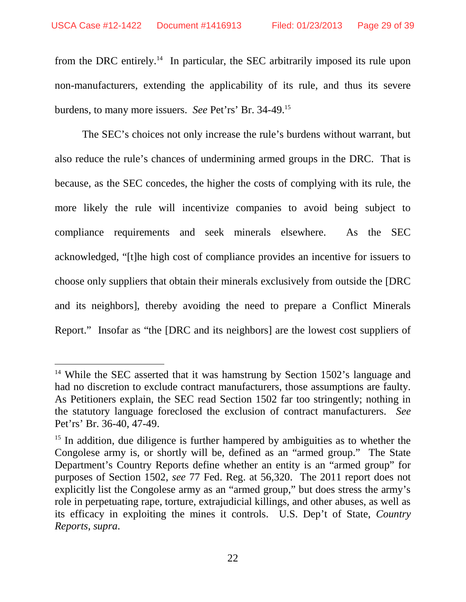from the DRC entirely.<sup>14</sup> In particular, the SEC arbitrarily imposed its rule upon non-manufacturers, extending the applicability of its rule, and thus its severe burdens, to many more issuers. *See* Pet'rs' Br. 34-49.<sup>15</sup>

The SEC's choices not only increase the rule's burdens without warrant, but also reduce the rule's chances of undermining armed groups in the DRC. That is because, as the SEC concedes, the higher the costs of complying with its rule, the more likely the rule will incentivize companies to avoid being subject to compliance requirements and seek minerals elsewhere. As the SEC acknowledged, "[t]he high cost of compliance provides an incentive for issuers to choose only suppliers that obtain their minerals exclusively from outside the [DRC and its neighbors], thereby avoiding the need to prepare a Conflict Minerals Report." Insofar as "the [DRC and its neighbors] are the lowest cost suppliers of

<sup>&</sup>lt;sup>14</sup> While the SEC asserted that it was hamstrung by Section 1502's language and had no discretion to exclude contract manufacturers, those assumptions are faulty. As Petitioners explain, the SEC read Section 1502 far too stringently; nothing in the statutory language foreclosed the exclusion of contract manufacturers. *See* Pet'rs' Br. 36-40, 47-49.

<sup>&</sup>lt;sup>15</sup> In addition, due diligence is further hampered by ambiguities as to whether the Congolese army is, or shortly will be, defined as an "armed group." The State Department's Country Reports define whether an entity is an "armed group" for purposes of Section 1502, *see* 77 Fed. Reg. at 56,320. The 2011 report does not explicitly list the Congolese army as an "armed group," but does stress the army's role in perpetuating rape, torture, extrajudicial killings, and other abuses, as well as its efficacy in exploiting the mines it controls. U.S. Dep't of State, *Country Reports*, *supra*.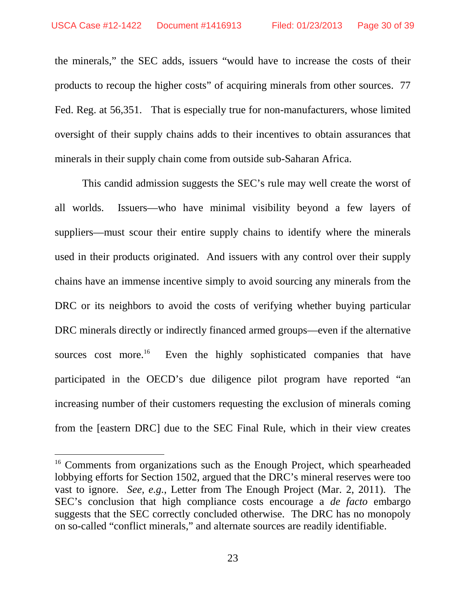the minerals," the SEC adds, issuers "would have to increase the costs of their products to recoup the higher costs" of acquiring minerals from other sources. 77 Fed. Reg. at 56,351. That is especially true for non-manufacturers, whose limited oversight of their supply chains adds to their incentives to obtain assurances that minerals in their supply chain come from outside sub-Saharan Africa.

This candid admission suggests the SEC's rule may well create the worst of all worlds. Issuers—who have minimal visibility beyond a few layers of suppliers—must scour their entire supply chains to identify where the minerals used in their products originated. And issuers with any control over their supply chains have an immense incentive simply to avoid sourcing any minerals from the DRC or its neighbors to avoid the costs of verifying whether buying particular DRC minerals directly or indirectly financed armed groups—even if the alternative sources cost more.<sup>16</sup> Even the highly sophisticated companies that have participated in the OECD's due diligence pilot program have reported "an increasing number of their customers requesting the exclusion of minerals coming from the [eastern DRC] due to the SEC Final Rule, which in their view creates

<sup>&</sup>lt;sup>16</sup> Comments from organizations such as the Enough Project, which spearheaded lobbying efforts for Section 1502, argued that the DRC's mineral reserves were too vast to ignore. *See, e.g.*, Letter from The Enough Project (Mar. 2, 2011). The SEC's conclusion that high compliance costs encourage a *de facto* embargo suggests that the SEC correctly concluded otherwise. The DRC has no monopoly on so-called "conflict minerals," and alternate sources are readily identifiable.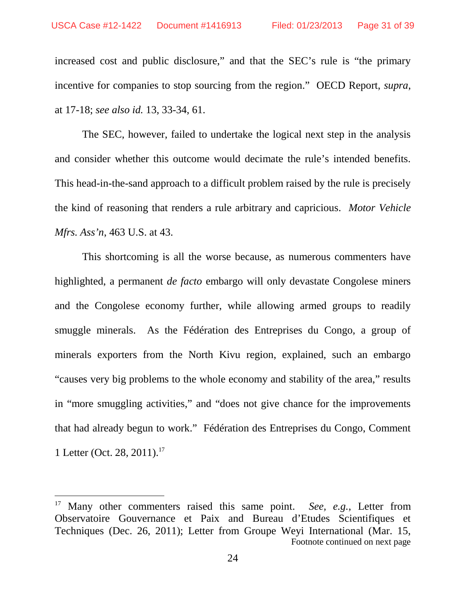increased cost and public disclosure," and that the SEC's rule is "the primary incentive for companies to stop sourcing from the region." OECD Report, *supra*, at 17-18; *see also id.* 13, 33-34, 61.

The SEC, however, failed to undertake the logical next step in the analysis and consider whether this outcome would decimate the rule's intended benefits. This head-in-the-sand approach to a difficult problem raised by the rule is precisely the kind of reasoning that renders a rule arbitrary and capricious. *Motor Vehicle Mfrs. Ass'n*, 463 U.S. at 43.

This shortcoming is all the worse because, as numerous commenters have highlighted, a permanent *de facto* embargo will only devastate Congolese miners and the Congolese economy further, while allowing armed groups to readily smuggle minerals. As the Fédération des Entreprises du Congo, a group of minerals exporters from the North Kivu region, explained, such an embargo "causes very big problems to the whole economy and stability of the area," results in "more smuggling activities," and "does not give chance for the improvements that had already begun to work." Fédération des Entreprises du Congo, Comment 1 Letter (Oct. 28, 2011).<sup>17</sup>

<sup>17</sup> Many other commenters raised this same point. *See, e.g.*, Letter from Observatoire Gouvernance et Paix and Bureau d'Etudes Scientifiques et Techniques (Dec. 26, 2011); Letter from Groupe Weyi International (Mar. 15, Footnote continued on next page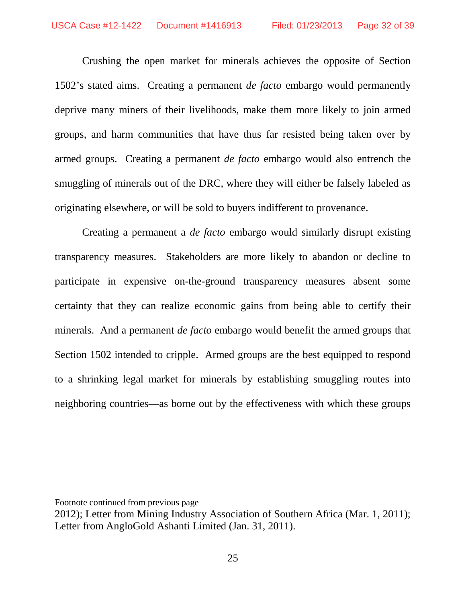Crushing the open market for minerals achieves the opposite of Section 1502's stated aims. Creating a permanent *de facto* embargo would permanently deprive many miners of their livelihoods, make them more likely to join armed groups, and harm communities that have thus far resisted being taken over by armed groups. Creating a permanent *de facto* embargo would also entrench the smuggling of minerals out of the DRC, where they will either be falsely labeled as originating elsewhere, or will be sold to buyers indifferent to provenance.

Creating a permanent a *de facto* embargo would similarly disrupt existing transparency measures. Stakeholders are more likely to abandon or decline to participate in expensive on-the-ground transparency measures absent some certainty that they can realize economic gains from being able to certify their minerals. And a permanent *de facto* embargo would benefit the armed groups that Section 1502 intended to cripple. Armed groups are the best equipped to respond to a shrinking legal market for minerals by establishing smuggling routes into neighboring countries—as borne out by the effectiveness with which these groups

Footnote continued from previous page

<sup>2012);</sup> Letter from Mining Industry Association of Southern Africa (Mar. 1, 2011); Letter from AngloGold Ashanti Limited (Jan. 31, 2011).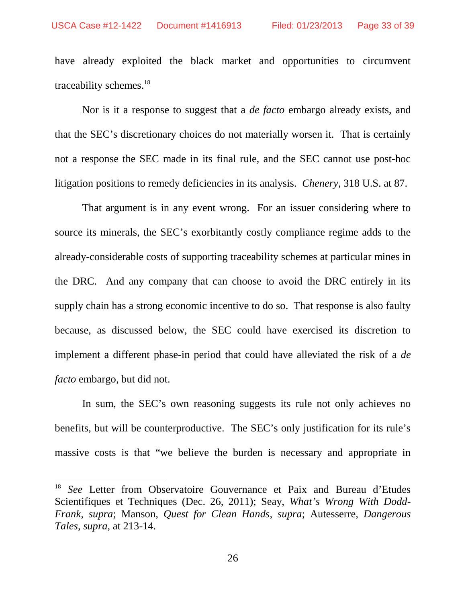have already exploited the black market and opportunities to circumvent traceability schemes.<sup>18</sup>

Nor is it a response to suggest that a *de facto* embargo already exists, and that the SEC's discretionary choices do not materially worsen it. That is certainly not a response the SEC made in its final rule, and the SEC cannot use post-hoc litigation positions to remedy deficiencies in its analysis. *Chenery*, 318 U.S. at 87.

That argument is in any event wrong. For an issuer considering where to source its minerals, the SEC's exorbitantly costly compliance regime adds to the already-considerable costs of supporting traceability schemes at particular mines in the DRC. And any company that can choose to avoid the DRC entirely in its supply chain has a strong economic incentive to do so. That response is also faulty because, as discussed below, the SEC could have exercised its discretion to implement a different phase-in period that could have alleviated the risk of a *de facto* embargo, but did not.

In sum, the SEC's own reasoning suggests its rule not only achieves no benefits, but will be counterproductive. The SEC's only justification for its rule's massive costs is that "we believe the burden is necessary and appropriate in

<sup>18</sup> *See* Letter from Observatoire Gouvernance et Paix and Bureau d'Etudes Scientifiques et Techniques (Dec. 26, 2011); Seay, *What's Wrong With Dodd-Frank*, *supra*; Manson, *Quest for Clean Hands*, *supra*; Autesserre, *Dangerous Tales*, *supra*, at 213-14.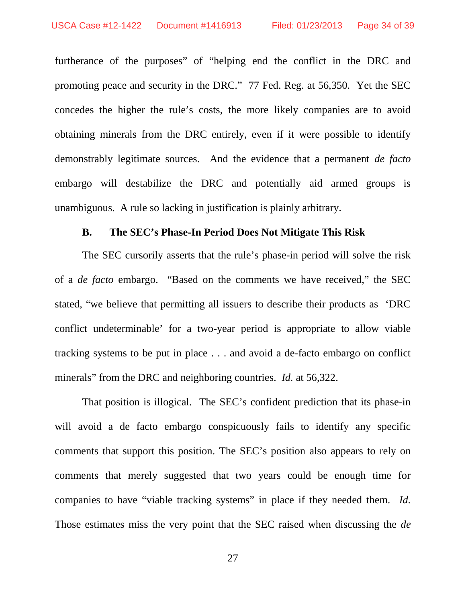furtherance of the purposes" of "helping end the conflict in the DRC and promoting peace and security in the DRC." 77 Fed. Reg. at 56,350. Yet the SEC concedes the higher the rule's costs, the more likely companies are to avoid obtaining minerals from the DRC entirely, even if it were possible to identify demonstrably legitimate sources. And the evidence that a permanent *de facto* embargo will destabilize the DRC and potentially aid armed groups is unambiguous. A rule so lacking in justification is plainly arbitrary.

### **B. The SEC's Phase-In Period Does Not Mitigate This Risk**

The SEC cursorily asserts that the rule's phase-in period will solve the risk of a *de facto* embargo. "Based on the comments we have received," the SEC stated, "we believe that permitting all issuers to describe their products as 'DRC conflict undeterminable' for a two-year period is appropriate to allow viable tracking systems to be put in place . . . and avoid a de-facto embargo on conflict minerals" from the DRC and neighboring countries. *Id.* at 56,322.

That position is illogical. The SEC's confident prediction that its phase-in will avoid a de facto embargo conspicuously fails to identify any specific comments that support this position. The SEC's position also appears to rely on comments that merely suggested that two years could be enough time for companies to have "viable tracking systems" in place if they needed them. *Id.* Those estimates miss the very point that the SEC raised when discussing the *de*

27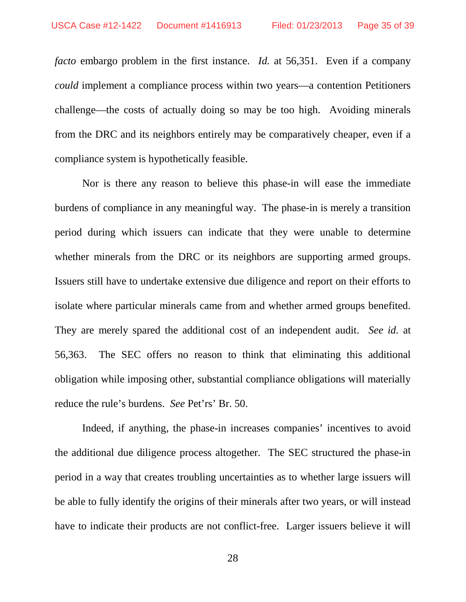*facto* embargo problem in the first instance. *Id.* at 56,351. Even if a company *could* implement a compliance process within two years—a contention Petitioners challenge—the costs of actually doing so may be too high. Avoiding minerals from the DRC and its neighbors entirely may be comparatively cheaper, even if a compliance system is hypothetically feasible.

Nor is there any reason to believe this phase-in will ease the immediate burdens of compliance in any meaningful way. The phase-in is merely a transition period during which issuers can indicate that they were unable to determine whether minerals from the DRC or its neighbors are supporting armed groups. Issuers still have to undertake extensive due diligence and report on their efforts to isolate where particular minerals came from and whether armed groups benefited. They are merely spared the additional cost of an independent audit. *See id.* at 56,363. The SEC offers no reason to think that eliminating this additional obligation while imposing other, substantial compliance obligations will materially reduce the rule's burdens. *See* Pet'rs' Br. 50.

Indeed, if anything, the phase-in increases companies' incentives to avoid the additional due diligence process altogether. The SEC structured the phase-in period in a way that creates troubling uncertainties as to whether large issuers will be able to fully identify the origins of their minerals after two years, or will instead have to indicate their products are not conflict-free. Larger issuers believe it will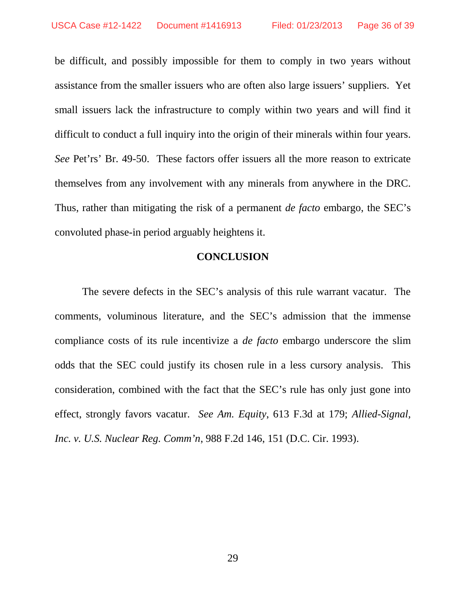be difficult, and possibly impossible for them to comply in two years without assistance from the smaller issuers who are often also large issuers' suppliers. Yet small issuers lack the infrastructure to comply within two years and will find it difficult to conduct a full inquiry into the origin of their minerals within four years. *See* Pet'rs' Br. 49-50. These factors offer issuers all the more reason to extricate themselves from any involvement with any minerals from anywhere in the DRC. Thus, rather than mitigating the risk of a permanent *de facto* embargo, the SEC's convoluted phase-in period arguably heightens it.

### **CONCLUSION**

The severe defects in the SEC's analysis of this rule warrant vacatur. The comments, voluminous literature, and the SEC's admission that the immense compliance costs of its rule incentivize a *de facto* embargo underscore the slim odds that the SEC could justify its chosen rule in a less cursory analysis. This consideration, combined with the fact that the SEC's rule has only just gone into effect, strongly favors vacatur. *See Am. Equity*, 613 F.3d at 179; *Allied-Signal, Inc. v. U.S. Nuclear Reg. Comm'n*, 988 F.2d 146, 151 (D.C. Cir. 1993).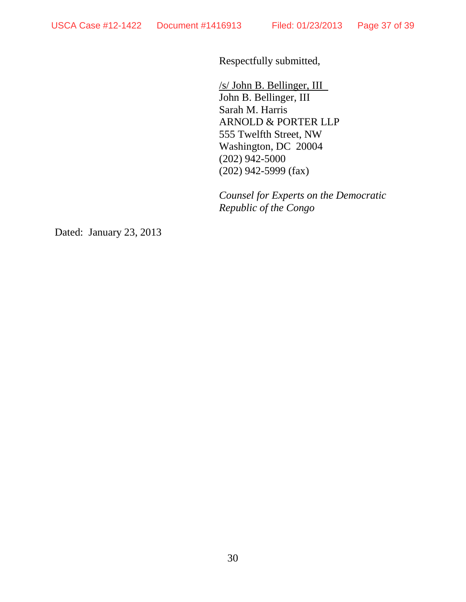Respectfully submitted,

/s/ John B. Bellinger, III John B. Bellinger, III Sarah M. Harris ARNOLD & PORTER LLP 555 Twelfth Street, NW Washington, DC 20004 (202) 942-5000 (202) 942-5999 (fax)

*Counsel for Experts on the Democratic Republic of the Congo*

Dated: January 23, 2013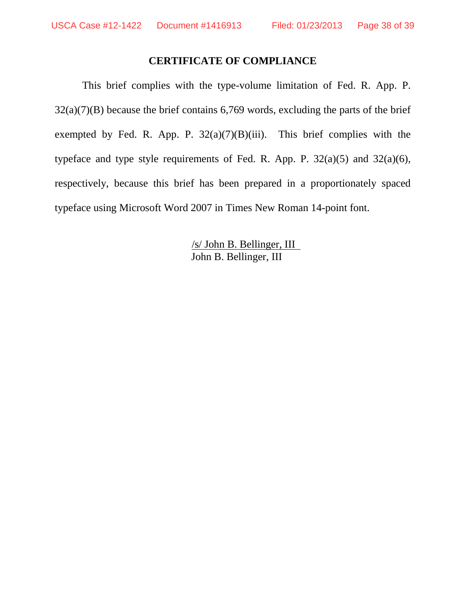### **CERTIFICATE OF COMPLIANCE**

This brief complies with the type-volume limitation of Fed. R. App. P.  $32(a)(7)(B)$  because the brief contains 6,769 words, excluding the parts of the brief exempted by Fed. R. App. P.  $32(a)(7)(B)(iii)$ . This brief complies with the typeface and type style requirements of Fed. R. App. P.  $32(a)(5)$  and  $32(a)(6)$ , respectively, because this brief has been prepared in a proportionately spaced typeface using Microsoft Word 2007 in Times New Roman 14-point font.

> /s/ John B. Bellinger, III John B. Bellinger, III